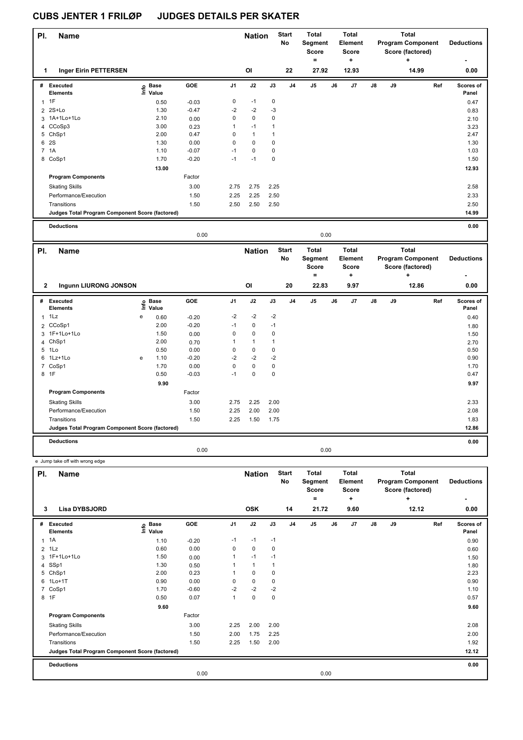e Jump take off with wrong edge

| PI. | <b>Name</b>                                     |                   |         |                | <b>Nation</b>  |      | <b>Start</b><br>No | Total<br>Segment<br><b>Score</b> |    | <b>Total</b><br>Element<br><b>Score</b> |               |    | <b>Total</b><br><b>Program Component</b><br>Score (factored) | <b>Deductions</b>                |
|-----|-------------------------------------------------|-------------------|---------|----------------|----------------|------|--------------------|----------------------------------|----|-----------------------------------------|---------------|----|--------------------------------------------------------------|----------------------------------|
| 1   | Inger Eirin PETTERSEN                           |                   |         |                | O <sub>l</sub> |      | 22                 | $\equiv$<br>27.92                |    | ٠<br>12.93                              |               |    | ٠<br>14.99                                                   | $\overline{\phantom{0}}$<br>0.00 |
|     |                                                 |                   |         |                |                |      |                    |                                  |    |                                         |               |    |                                                              |                                  |
| #   | Executed<br><b>Elements</b>                     | e Base<br>E Value | GOE     | J <sub>1</sub> | J2             | J3   | J <sub>4</sub>     | J <sub>5</sub>                   | J6 | J7                                      | $\mathsf{J}8$ | J9 | Ref                                                          | Scores of<br>Panel               |
|     | 1F                                              | 0.50              | $-0.03$ | 0              | $-1$           | 0    |                    |                                  |    |                                         |               |    |                                                              | 0.47                             |
|     | 2 2S+Lo                                         | 1.30              | $-0.47$ | $-2$           | $-2$           | $-3$ |                    |                                  |    |                                         |               |    |                                                              | 0.83                             |
|     | 3 1A+1Lo+1Lo                                    | 2.10              | 0.00    | 0              | $\pmb{0}$      | 0    |                    |                                  |    |                                         |               |    |                                                              | 2.10                             |
|     | 4 CCoSp3                                        | 3.00              | 0.23    | $\mathbf{1}$   | $-1$           | 1    |                    |                                  |    |                                         |               |    |                                                              | 3.23                             |
|     | 5 ChSp1                                         | 2.00              | 0.47    | 0              | $\mathbf{1}$   |      |                    |                                  |    |                                         |               |    |                                                              | 2.47                             |
| 6   | <b>2S</b>                                       | 1.30              | 0.00    | $\mathbf 0$    | $\mathbf 0$    | 0    |                    |                                  |    |                                         |               |    |                                                              | 1.30                             |
|     | 7 1A                                            | 1.10              | $-0.07$ | $-1$           | $\pmb{0}$      | 0    |                    |                                  |    |                                         |               |    |                                                              | 1.03                             |
|     | 8 CoSp1                                         | 1.70              | $-0.20$ | $-1$           | $-1$           | 0    |                    |                                  |    |                                         |               |    |                                                              | 1.50                             |
|     |                                                 | 13.00             |         |                |                |      |                    |                                  |    |                                         |               |    |                                                              | 12.93                            |
|     | <b>Program Components</b>                       |                   | Factor  |                |                |      |                    |                                  |    |                                         |               |    |                                                              |                                  |
|     | <b>Skating Skills</b>                           |                   | 3.00    | 2.75           | 2.75           | 2.25 |                    |                                  |    |                                         |               |    |                                                              | 2.58                             |
|     | Performance/Execution                           |                   | 1.50    | 2.25           | 2.25           | 2.50 |                    |                                  |    |                                         |               |    |                                                              | 2.33                             |
|     | Transitions                                     |                   | 1.50    | 2.50           | 2.50           | 2.50 |                    |                                  |    |                                         |               |    |                                                              | 2.50                             |
|     | Judges Total Program Component Score (factored) |                   |         |                |                |      |                    |                                  |    |                                         |               |    |                                                              | 14.99                            |
|     | <b>Deductions</b>                               |                   |         |                |                |      |                    |                                  |    |                                         |               |    |                                                              | 0.00                             |

|              |                                                 |                           |                      | 0.00    |                |                |              |                           |                                              | 0.00 |                                              |    |    |                                                            |                        |
|--------------|-------------------------------------------------|---------------------------|----------------------|---------|----------------|----------------|--------------|---------------------------|----------------------------------------------|------|----------------------------------------------|----|----|------------------------------------------------------------|------------------------|
| PI.          | <b>Name</b>                                     |                           |                      |         |                | <b>Nation</b>  |              | <b>Start</b><br><b>No</b> | <b>Total</b><br>Segment<br><b>Score</b><br>۰ |      | <b>Total</b><br>Element<br><b>Score</b><br>٠ |    |    | Total<br><b>Program Component</b><br>Score (factored)<br>÷ | <b>Deductions</b><br>٠ |
| $\mathbf{2}$ | Ingunn LIURONG JONSON                           |                           |                      |         |                | O <sub>l</sub> |              | 20                        | 22.83                                        |      | 9.97                                         |    |    | 12.86                                                      | 0.00                   |
| #            | Executed<br><b>Elements</b>                     | $\mathop{\mathsf{Inflo}}$ | <b>Base</b><br>Value | GOE     | J <sub>1</sub> | J2             | J3           | J <sub>4</sub>            | J <sub>5</sub>                               | J6   | J <sub>7</sub>                               | J8 | J9 | Ref                                                        | Scores of<br>Panel     |
| $\mathbf{1}$ | 1Lz                                             | е                         | 0.60                 | $-0.20$ | $-2$           | $-2$           | $-2$         |                           |                                              |      |                                              |    |    |                                                            | 0.40                   |
|              | 2 CCoSp1                                        |                           | 2.00                 | $-0.20$ | $-1$           | 0              | $-1$         |                           |                                              |      |                                              |    |    |                                                            | 1.80                   |
|              | 3 1F+1Lo+1Lo                                    |                           | 1.50                 | 0.00    | 0              | $\mathbf 0$    | 0            |                           |                                              |      |                                              |    |    |                                                            | 1.50                   |
|              | 4 ChSp1                                         |                           | 2.00                 | 0.70    | 1              | $\mathbf{1}$   | $\mathbf{1}$ |                           |                                              |      |                                              |    |    |                                                            | 2.70                   |
| 5            | 1Lo                                             |                           | 0.50                 | 0.00    | 0              | $\mathbf 0$    | 0            |                           |                                              |      |                                              |    |    |                                                            | 0.50                   |
|              | 6 1Lz+1Lo                                       | e                         | 1.10                 | $-0.20$ | $-2$           | $-2$           | $-2$         |                           |                                              |      |                                              |    |    |                                                            | 0.90                   |
|              | 7 CoSp1                                         |                           | 1.70                 | 0.00    | 0              | $\mathbf 0$    | 0            |                           |                                              |      |                                              |    |    |                                                            | 1.70                   |
|              | 8 1F                                            |                           | 0.50                 | $-0.03$ | $-1$           | $\pmb{0}$      | 0            |                           |                                              |      |                                              |    |    |                                                            | 0.47                   |
|              |                                                 |                           | 9.90                 |         |                |                |              |                           |                                              |      |                                              |    |    |                                                            | 9.97                   |
|              | <b>Program Components</b>                       |                           |                      | Factor  |                |                |              |                           |                                              |      |                                              |    |    |                                                            |                        |
|              | <b>Skating Skills</b>                           |                           |                      | 3.00    | 2.75           | 2.25           | 2.00         |                           |                                              |      |                                              |    |    |                                                            | 2.33                   |
|              | Performance/Execution                           |                           |                      | 1.50    | 2.25           | 2.00           | 2.00         |                           |                                              |      |                                              |    |    |                                                            | 2.08                   |
|              | Transitions                                     |                           |                      | 1.50    | 2.25           | 1.50           | 1.75         |                           |                                              |      |                                              |    |    |                                                            | 1.83                   |
|              | Judges Total Program Component Score (factored) |                           |                      |         |                |                |              |                           |                                              |      |                                              |    |    |                                                            | 12.86                  |
|              | <b>Deductions</b>                               |                           |                      |         |                |                |              |                           |                                              |      |                                              |    |    |                                                            | 0.00                   |
|              |                                                 |                           |                      | 0.00    |                |                |              |                           |                                              | 0.00 |                                              |    |    |                                                            |                        |

**Name Deductions - Nation Total Pl. Start Segment Score = Total Element Score + Total Program Component Score (factored) + No # Executed Elements Base Value GOE J1 J2 J3 J4 J5 J6 J7 J8 J9 Scores of Panel** 1 1A 1.10 -0.20 -1 -1 -1 **Ref**  المسلم المسلم المسلم المسلم المسلم المسلم المسلم المسلم المسلم المسلم المسلم المسلم المسلم المسلم المسلم المسل<br>1A 1A 1.10 -0.20 1.10 -0.20 1.1 -1 -1 -1 -1 -1 0.90  **3 Lisa DYBSJORD OSK 14 21.72 9.60 12.12 0.00** 2 1Lz 0.60 0.00 0 0 0 0.60 3 1F+1Lo+1Lo 1.50 0.00 1 -1 -1 1.50 4 SSp1 1.30 0.50 1 1 1 1.80 5 ChSp1 2.00 0.23 1 0 0 2.23 6 1Lo+1T 0.90 0.00 0 0 0 0.90 7 CoSp1 1.70 -0.60 -2 -2 -2 1.10  $8$  1F  $16$   $0.50$   $0.07$   $1$   $0$   $0$  **9.60 9.60 Program Components**  Skating Skills 2.00 2.00 2.00 2.00 Factor 2.25 2.00 2.00 2.00 2.08 2.25 2.08 Performance/Execution 1.50 2.00 1.75 2.25 Transitions 1.92 1.50 2.25 1.50 2.00 1.92 **Deductions 0.00 Judges Total Program Component Score (factored) 12.12** 0.00 0.00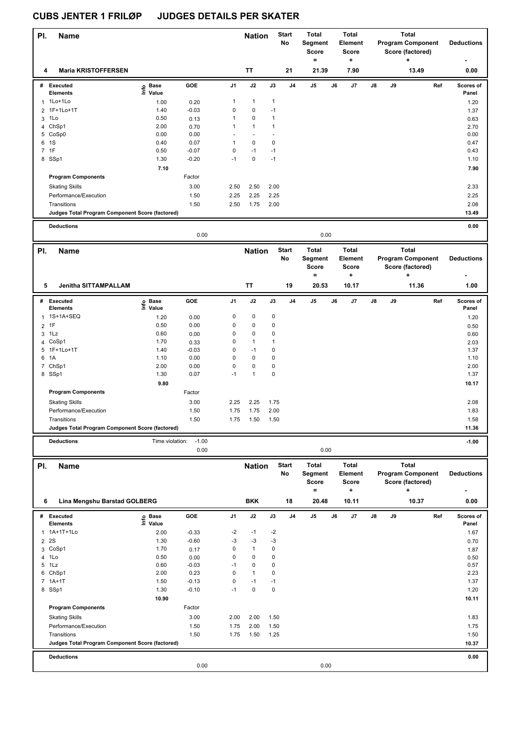| PI.                  | <b>Name</b>                                     |                                           |                    |                  | <b>Nation</b>        |                     | <b>Start</b><br>No | <b>Total</b><br>Segment<br><b>Score</b><br>$\equiv$ |    | Total<br><b>Element</b><br>Score<br>÷        |    |    | <b>Total</b><br><b>Program Component</b><br>Score (factored)<br>÷ | <b>Deductions</b>  |
|----------------------|-------------------------------------------------|-------------------------------------------|--------------------|------------------|----------------------|---------------------|--------------------|-----------------------------------------------------|----|----------------------------------------------|----|----|-------------------------------------------------------------------|--------------------|
| 4                    | <b>Maria KRISTOFFERSEN</b>                      |                                           |                    |                  | <b>TT</b>            |                     | 21                 | 21.39                                               |    | 7.90                                         |    |    | 13.49                                                             | 0.00               |
|                      | # Executed                                      | o Base<br>$\bar{\Xi}$ Value               | GOE                | J1               | J2                   | J3                  | J <sub>4</sub>     | J5                                                  | J6 | J7                                           | J8 | J9 | Ref                                                               | Scores of          |
| 1                    | <b>Elements</b><br>$1Lo+1Lo$                    |                                           |                    | $\mathbf{1}$     | $\mathbf{1}$         | $\mathbf{1}$        |                    |                                                     |    |                                              |    |    |                                                                   | Panel              |
|                      | 1F+1Lo+1T                                       | 1.00<br>1.40                              | 0.20<br>$-0.03$    | 0                | 0                    | $-1$                |                    |                                                     |    |                                              |    |    |                                                                   | 1.20               |
| $\overline{2}$<br>3  | 1Lo                                             | 0.50                                      | 0.13               | $\mathbf{1}$     | 0                    | $\mathbf{1}$        |                    |                                                     |    |                                              |    |    |                                                                   | 1.37<br>0.63       |
| $\overline{4}$       | ChSp1                                           | 2.00                                      | 0.70               | $\mathbf{1}$     | $\mathbf{1}$         | $\mathbf{1}$        |                    |                                                     |    |                                              |    |    |                                                                   | 2.70               |
|                      | 5 CoSp0                                         | 0.00                                      | 0.00               |                  | ä,                   | ä,                  |                    |                                                     |    |                                              |    |    |                                                                   | 0.00               |
| 1S<br>6              |                                                 | 0.40                                      | 0.07               | $\mathbf{1}$     | $\mathbf 0$          | $\mathbf 0$         |                    |                                                     |    |                                              |    |    |                                                                   | 0.47               |
| 7 1F                 |                                                 | 0.50                                      | $-0.07$            | 0                | $-1$                 | $-1$                |                    |                                                     |    |                                              |    |    |                                                                   | 0.43               |
| 8 SSp1               |                                                 | 1.30                                      | $-0.20$            | $-1$             | $\pmb{0}$            | $-1$                |                    |                                                     |    |                                              |    |    |                                                                   | 1.10               |
|                      |                                                 | 7.10                                      |                    |                  |                      |                     |                    |                                                     |    |                                              |    |    |                                                                   | 7.90               |
|                      | <b>Program Components</b>                       |                                           | Factor             |                  |                      |                     |                    |                                                     |    |                                              |    |    |                                                                   |                    |
|                      | <b>Skating Skills</b>                           |                                           | 3.00               | 2.50             | 2.50                 | 2.00                |                    |                                                     |    |                                              |    |    |                                                                   | 2.33               |
|                      | Performance/Execution                           |                                           | 1.50               | 2.25             | 2.25                 | 2.25                |                    |                                                     |    |                                              |    |    |                                                                   | 2.25               |
|                      | Transitions                                     |                                           | 1.50               | 2.50             | 1.75                 | 2.00                |                    |                                                     |    |                                              |    |    |                                                                   | 2.08               |
|                      | Judges Total Program Component Score (factored) |                                           |                    |                  |                      |                     |                    |                                                     |    |                                              |    |    |                                                                   | 13.49              |
|                      | <b>Deductions</b>                               |                                           |                    |                  |                      |                     |                    |                                                     |    |                                              |    |    |                                                                   | 0.00               |
|                      |                                                 |                                           | 0.00               |                  |                      |                     |                    | 0.00                                                |    |                                              |    |    |                                                                   |                    |
|                      |                                                 |                                           |                    |                  |                      |                     |                    |                                                     |    |                                              |    |    |                                                                   |                    |
| PI.                  | Name                                            |                                           |                    |                  | <b>Nation</b>        |                     | <b>Start</b><br>No | <b>Total</b><br>Segment<br>Score<br>$=$             |    | <b>Total</b><br><b>Element</b><br>Score<br>÷ |    |    | <b>Total</b><br><b>Program Component</b><br>Score (factored)<br>+ | <b>Deductions</b>  |
| 5                    | Jenitha SITTAMPALLAM                            |                                           |                    |                  | TT                   |                     | 19                 | 20.53                                               |    | 10.17                                        |    |    | 11.36                                                             | 1.00               |
| #                    | <b>Executed</b>                                 | $\frac{e}{2}$ Base<br>$\frac{e}{2}$ Value | GOE                | J1               | J2                   | $\mathsf{J3}$       | J <sub>4</sub>     | J5                                                  | J6 | J7                                           | J8 | J9 | Ref                                                               | Scores of          |
|                      | <b>Elements</b>                                 |                                           |                    |                  |                      |                     |                    |                                                     |    |                                              |    |    |                                                                   | Panel              |
| $\mathbf{1}$         | 1S+1A+SEQ                                       | 1.20                                      | 0.00               | $\mathbf 0$      | $\mathbf 0$          | 0                   |                    |                                                     |    |                                              |    |    |                                                                   | 1.20               |
| 1F<br>$\overline{2}$ |                                                 | 0.50                                      | 0.00               | 0                | 0                    | $\pmb{0}$           |                    |                                                     |    |                                              |    |    |                                                                   | 0.50               |
| 3                    | 1Lz                                             | 0.60                                      | 0.00               | 0                | 0                    | 0                   |                    |                                                     |    |                                              |    |    |                                                                   | 0.60               |
|                      | 4 CoSp1                                         | 1.70                                      | 0.33               | 0                | $\mathbf{1}$         | $\mathbf{1}$        |                    |                                                     |    |                                              |    |    |                                                                   | 2.03               |
| 1A<br>6              | 5 1F+1Lo+1T                                     | 1.40<br>1.10                              | $-0.03$<br>0.00    | 0<br>0           | $-1$<br>$\mathbf 0$  | 0<br>$\mathbf 0$    |                    |                                                     |    |                                              |    |    |                                                                   | 1.37<br>1.10       |
|                      | 7 ChSp1                                         | 2.00                                      | 0.00               | 0                | 0                    | 0                   |                    |                                                     |    |                                              |    |    |                                                                   | 2.00               |
| 8 SSp1               |                                                 | 1.30                                      | 0.07               | $-1$             | $\mathbf{1}$         | $\mathbf 0$         |                    |                                                     |    |                                              |    |    |                                                                   | 1.37               |
|                      |                                                 | 9.80                                      |                    |                  |                      |                     |                    |                                                     |    |                                              |    |    |                                                                   | 10.17              |
|                      | <b>Program Components</b>                       |                                           | Factor             |                  |                      |                     |                    |                                                     |    |                                              |    |    |                                                                   |                    |
|                      | <b>Skating Skills</b>                           |                                           | 3.00               | 2.25             | 2.25                 | 1.75                |                    |                                                     |    |                                              |    |    |                                                                   | 2.08               |
|                      | Performance/Execution                           |                                           | 1.50               | 1.75             | 1.75                 | 2.00                |                    |                                                     |    |                                              |    |    |                                                                   | 1.83               |
|                      | Transitions                                     |                                           | 1.50               | 1.75             | 1.50                 | 1.50                |                    |                                                     |    |                                              |    |    |                                                                   | 1.58               |
|                      | Judges Total Program Component Score (factored) |                                           |                    |                  |                      |                     |                    |                                                     |    |                                              |    |    |                                                                   | 11.36              |
|                      |                                                 |                                           |                    |                  |                      |                     |                    |                                                     |    |                                              |    |    |                                                                   |                    |
|                      | <b>Deductions</b>                               | Time violation:                           | $-1.00$<br>0.00    |                  |                      |                     |                    | 0.00                                                |    |                                              |    |    |                                                                   | $-1.00$            |
| PI.                  | <b>Name</b>                                     |                                           |                    |                  | <b>Nation</b>        |                     | Start              | <b>Total</b>                                        |    | <b>Total</b>                                 |    |    | <b>Total</b>                                                      |                    |
|                      |                                                 |                                           |                    |                  |                      |                     | No                 | Segment<br>Score<br>$=$                             |    | Element<br>Score<br>÷                        |    |    | <b>Program Component</b><br>Score (factored)<br>٠                 | <b>Deductions</b>  |
| 6                    | Lina Mengshu Barstad GOLBERG                    |                                           |                    |                  | <b>BKK</b>           |                     | 18                 | 20.48                                               |    | 10.11                                        |    |    | 10.37                                                             | 0.00               |
|                      | # Executed<br><b>Elements</b>                   | e Base<br>⊑ Value                         | GOE                | J1               | J2                   | $\mathsf{J3}$       | J4                 | $\mathsf{J}5$                                       | J6 | J7                                           | J8 | J9 | Ref                                                               | Scores of<br>Panel |
| $\mathbf{1}$         | 1A+1T+1Lo                                       | 2.00                                      | $-0.33$            | -2               | $-1$                 | $-2$                |                    |                                                     |    |                                              |    |    |                                                                   | 1.67               |
| 2S<br>$\overline{2}$ |                                                 | 1.30                                      | $-0.60$            | -3               | $-3$                 | $-3$                |                    |                                                     |    |                                              |    |    |                                                                   | 0.70               |
|                      | 3 CoSp1                                         | 1.70                                      | 0.17               | 0                | $\mathbf{1}$         | 0                   |                    |                                                     |    |                                              |    |    |                                                                   | 1.87               |
| 4 1Lo                |                                                 | 0.50                                      | 0.00               | 0                | 0                    | 0                   |                    |                                                     |    |                                              |    |    |                                                                   | 0.50               |
| 5                    | 1Lz                                             | 0.60                                      | $-0.03$            | $-1$             | 0                    | 0                   |                    |                                                     |    |                                              |    |    |                                                                   | 0.57               |
|                      | 6 ChSp1                                         | 2.00                                      | 0.23               | 0<br>$\mathbf 0$ | $\mathbf{1}$<br>$-1$ | $\pmb{0}$           |                    |                                                     |    |                                              |    |    |                                                                   | 2.23<br>1.37       |
| 8 SSp1               | 7 1A+1T                                         | 1.50<br>1.30                              | $-0.13$<br>$-0.10$ | $-1$             | $\pmb{0}$            | $-1$<br>$\mathbf 0$ |                    |                                                     |    |                                              |    |    |                                                                   | 1.20               |
|                      |                                                 | 10.90                                     |                    |                  |                      |                     |                    |                                                     |    |                                              |    |    |                                                                   | 10.11              |
|                      | <b>Program Components</b>                       |                                           | Factor             |                  |                      |                     |                    |                                                     |    |                                              |    |    |                                                                   |                    |
|                      |                                                 |                                           |                    |                  |                      |                     |                    |                                                     |    |                                              |    |    |                                                                   |                    |
|                      | <b>Skating Skills</b><br>Performance/Execution  |                                           | 3.00<br>1.50       | 2.00<br>1.75     | 2.00<br>2.00         | 1.50<br>1.50        |                    |                                                     |    |                                              |    |    |                                                                   | 1.83<br>1.75       |
|                      | Transitions                                     |                                           | 1.50               | 1.75             | 1.50                 | 1.25                |                    |                                                     |    |                                              |    |    |                                                                   | 1.50               |
|                      | Judges Total Program Component Score (factored) |                                           |                    |                  |                      |                     |                    |                                                     |    |                                              |    |    |                                                                   | 10.37              |
|                      |                                                 |                                           |                    |                  |                      |                     |                    |                                                     |    |                                              |    |    |                                                                   |                    |
|                      | <b>Deductions</b>                               |                                           | 0.00               |                  |                      |                     |                    | 0.00                                                |    |                                              |    |    |                                                                   | 0.00               |
|                      |                                                 |                                           |                    |                  |                      |                     |                    |                                                     |    |                                              |    |    |                                                                   |                    |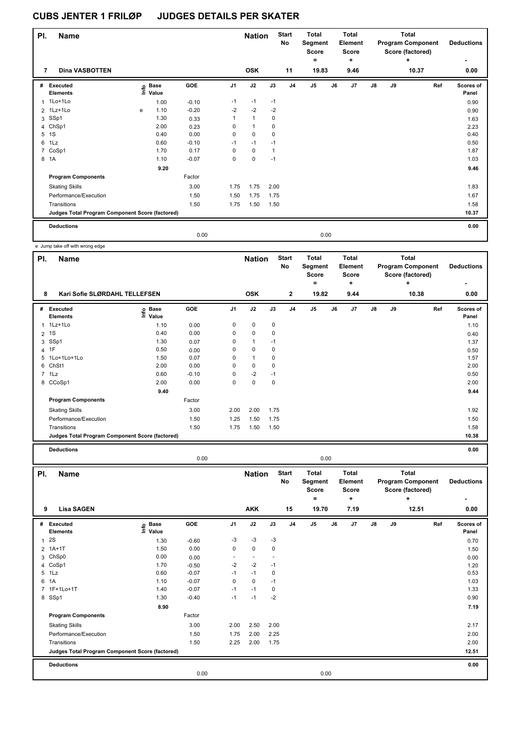| PI.            | <b>Name</b>                                     |   |                   |         |                | <b>Nation</b>        |              | <b>Start</b><br>No | Total<br>Segment<br>Score<br>$\equiv$ |      | <b>Total</b><br>Element<br>Score<br>٠ |               |    | Total<br><b>Program Component</b><br>Score (factored)<br>٠ | <b>Deductions</b><br>٠ |
|----------------|-------------------------------------------------|---|-------------------|---------|----------------|----------------------|--------------|--------------------|---------------------------------------|------|---------------------------------------|---------------|----|------------------------------------------------------------|------------------------|
| 7              | <b>Dina VASBOTTEN</b>                           |   |                   |         |                | <b>OSK</b>           |              | 11                 | 19.83                                 |      | 9.46                                  |               |    | 10.37                                                      | 0.00                   |
| #              | Executed<br><b>Elements</b>                     |   | e Base<br>E Value | GOE     | J <sub>1</sub> | J2                   | J3           | J <sub>4</sub>     | J <sub>5</sub>                        | J6   | J7                                    | $\mathsf{J}8$ | J9 | Ref                                                        | Scores of<br>Panel     |
| 1              | 1Lo+1Lo                                         |   | 1.00              | $-0.10$ | $-1$           | $-1$                 | $-1$         |                    |                                       |      |                                       |               |    |                                                            | 0.90                   |
|                | 2 1Lz+1Lo                                       | e | 1.10              | $-0.20$ | $-2$           | $-2$                 | $-2$         |                    |                                       |      |                                       |               |    |                                                            | 0.90                   |
|                | 3 SSp1                                          |   | 1.30              | 0.33    | 1              | $\blacktriangleleft$ | 0            |                    |                                       |      |                                       |               |    |                                                            | 1.63                   |
|                | 4 ChSp1                                         |   | 2.00              | 0.23    | 0              | 1                    | 0            |                    |                                       |      |                                       |               |    |                                                            | 2.23                   |
| 5              | 1S                                              |   | 0.40              | 0.00    | 0              | $\mathbf 0$          | 0            |                    |                                       |      |                                       |               |    |                                                            | 0.40                   |
| 6              | 1Lz                                             |   | 0.60              | $-0.10$ | $-1$           | $-1$                 | $-1$         |                    |                                       |      |                                       |               |    |                                                            | 0.50                   |
| $\overline{7}$ | CoSp1                                           |   | 1.70              | 0.17    | 0              | $\mathbf 0$          | $\mathbf{1}$ |                    |                                       |      |                                       |               |    |                                                            | 1.87                   |
|                | 8 1A                                            |   | 1.10              | $-0.07$ | $\mathbf 0$    | $\mathbf 0$          | $-1$         |                    |                                       |      |                                       |               |    |                                                            | 1.03                   |
|                |                                                 |   | 9.20              |         |                |                      |              |                    |                                       |      |                                       |               |    |                                                            | 9.46                   |
|                | <b>Program Components</b>                       |   |                   | Factor  |                |                      |              |                    |                                       |      |                                       |               |    |                                                            |                        |
|                | <b>Skating Skills</b>                           |   |                   | 3.00    | 1.75           | 1.75                 | 2.00         |                    |                                       |      |                                       |               |    |                                                            | 1.83                   |
|                | Performance/Execution                           |   |                   | 1.50    | 1.50           | 1.75                 | 1.75         |                    |                                       |      |                                       |               |    |                                                            | 1.67                   |
|                | Transitions                                     |   |                   | 1.50    | 1.75           | 1.50                 | 1.50         |                    |                                       |      |                                       |               |    |                                                            | 1.58                   |
|                | Judges Total Program Component Score (factored) |   |                   |         |                |                      |              |                    |                                       |      |                                       |               |    |                                                            | 10.37                  |
|                | <b>Deductions</b>                               |   |                   |         |                |                      |              |                    |                                       |      |                                       |               |    |                                                            | 0.00                   |
|                |                                                 |   |                   | 0.00    |                |                      |              |                    |                                       | 0.00 |                                       |               |    |                                                            |                        |

e Jump take off with wrong edge

| PI.            | <b>Name</b>                                     |                            |            |                | <b>Nation</b> |      | <b>Start</b><br>No | <b>Total</b><br>Segment<br><b>Score</b><br>٠ |    | <b>Total</b><br>Element<br><b>Score</b><br>٠ |               |    | <b>Total</b><br><b>Program Component</b><br>Score (factored)<br>$\ddot{}$ | <b>Deductions</b>  |
|----------------|-------------------------------------------------|----------------------------|------------|----------------|---------------|------|--------------------|----------------------------------------------|----|----------------------------------------------|---------------|----|---------------------------------------------------------------------------|--------------------|
| 8              | Kari Sofie SLØRDAHL TELLEFSEN                   |                            |            |                | <b>OSK</b>    |      | $\mathbf{2}$       | 19.82                                        |    | 9.44                                         |               |    | 10.38                                                                     | 0.00               |
| #              | Executed<br><b>Elements</b>                     | e Base<br>E Value<br>Value | <b>GOE</b> | J <sub>1</sub> | J2            | J3   | J <sub>4</sub>     | J <sub>5</sub>                               | J6 | J7                                           | $\mathsf{J}8$ | J9 | Ref                                                                       | Scores of<br>Panel |
| $\overline{1}$ | 1Lz+1Lo                                         | 1.10                       | 0.00       | 0              | 0             | 0    |                    |                                              |    |                                              |               |    |                                                                           | 1.10               |
| $\overline{2}$ | 1S                                              | 0.40                       | 0.00       | 0              | $\mathbf 0$   | 0    |                    |                                              |    |                                              |               |    |                                                                           | 0.40               |
| 3              | SSp1                                            | 1.30                       | 0.07       | 0              | $\mathbf{1}$  | $-1$ |                    |                                              |    |                                              |               |    |                                                                           | 1.37               |
| $\overline{4}$ | 1F                                              | 0.50                       | 0.00       | 0              | 0             | 0    |                    |                                              |    |                                              |               |    |                                                                           | 0.50               |
| 5              | 1Lo+1Lo+1Lo                                     | 1.50                       | 0.07       | 0              | $\mathbf{1}$  | 0    |                    |                                              |    |                                              |               |    |                                                                           | 1.57               |
| 6              | ChSt1                                           | 2.00                       | 0.00       | 0              | $\mathbf 0$   | 0    |                    |                                              |    |                                              |               |    |                                                                           | 2.00               |
| $7^{\circ}$    | 1Lz                                             | 0.60                       | $-0.10$    | 0              | $-2$          | $-1$ |                    |                                              |    |                                              |               |    |                                                                           | 0.50               |
|                | 8 CCoSp1                                        | 2.00                       | 0.00       | 0              | $\mathbf 0$   | 0    |                    |                                              |    |                                              |               |    |                                                                           | 2.00               |
|                |                                                 | 9.40                       |            |                |               |      |                    |                                              |    |                                              |               |    |                                                                           | 9.44               |
|                | <b>Program Components</b>                       |                            | Factor     |                |               |      |                    |                                              |    |                                              |               |    |                                                                           |                    |
|                | <b>Skating Skills</b>                           |                            | 3.00       | 2.00           | 2.00          | 1.75 |                    |                                              |    |                                              |               |    |                                                                           | 1.92               |
|                | Performance/Execution                           |                            | 1.50       | 1.25           | 1.50          | 1.75 |                    |                                              |    |                                              |               |    |                                                                           | 1.50               |
|                | Transitions                                     |                            | 1.50       | 1.75           | 1.50          | 1.50 |                    |                                              |    |                                              |               |    |                                                                           | 1.58               |
|                | Judges Total Program Component Score (factored) |                            |            |                |               |      |                    |                                              |    |                                              |               |    |                                                                           | 10.38              |
|                | <b>Deductions</b>                               |                            |            |                |               |      |                    |                                              |    |                                              |               |    |                                                                           | 0.00               |

0.00 0.00

| PI.          | <b>Name</b>                                     |                            |         |                | <b>Nation</b>            |             | <b>Start</b><br>No | <b>Total</b><br>Segment<br><b>Score</b> |      | <b>Total</b><br>Element<br><b>Score</b> |               |    | <b>Total</b><br><b>Program Component</b><br>Score (factored) | <b>Deductions</b>  |
|--------------|-------------------------------------------------|----------------------------|---------|----------------|--------------------------|-------------|--------------------|-----------------------------------------|------|-----------------------------------------|---------------|----|--------------------------------------------------------------|--------------------|
| 9            | <b>Lisa SAGEN</b>                               |                            |         |                | <b>AKK</b>               |             | 15                 | ٠<br>19.70                              |      | ٠<br>7.19                               |               |    | ÷<br>12.51                                                   | ۰<br>0.00          |
|              |                                                 |                            |         |                |                          |             |                    |                                         |      |                                         |               |    |                                                              |                    |
| #            | Executed<br><b>Elements</b>                     | e Base<br>⊆ Value<br>Value | GOE     | J <sub>1</sub> | J2                       | J3          | J <sub>4</sub>     | J <sub>5</sub>                          | J6   | J7                                      | $\mathsf{J}8$ | J9 | Ref                                                          | Scores of<br>Panel |
| $\mathbf{1}$ | <b>2S</b>                                       | 1.30                       | $-0.60$ | $-3$           | $-3$                     | $-3$        |                    |                                         |      |                                         |               |    |                                                              | 0.70               |
|              | 2 1A+1T                                         | 1.50                       | 0.00    | 0              | $\mathbf 0$              | 0           |                    |                                         |      |                                         |               |    |                                                              | 1.50               |
|              | 3 ChSp0                                         | 0.00                       | 0.00    | ٠              | $\overline{\phantom{a}}$ |             |                    |                                         |      |                                         |               |    |                                                              | 0.00               |
|              | 4 CoSp1                                         | 1.70                       | $-0.50$ | $-2$           | $-2$                     | $-1$        |                    |                                         |      |                                         |               |    |                                                              | 1.20               |
|              | 5 1Lz                                           | 0.60                       | $-0.07$ | $-1$           | $-1$                     | $\mathbf 0$ |                    |                                         |      |                                         |               |    |                                                              | 0.53               |
|              | 6 1A                                            | 1.10                       | $-0.07$ | 0              | $\mathbf 0$              | $-1$        |                    |                                         |      |                                         |               |    |                                                              | 1.03               |
|              | 7 1F+1Lo+1T                                     | 1.40                       | $-0.07$ | $-1$           | $-1$                     | 0           |                    |                                         |      |                                         |               |    |                                                              | 1.33               |
|              | 8 SSp1                                          | 1.30                       | $-0.40$ | $-1$           | $-1$                     | $-2$        |                    |                                         |      |                                         |               |    |                                                              | 0.90               |
|              |                                                 | 8.90                       |         |                |                          |             |                    |                                         |      |                                         |               |    |                                                              | 7.19               |
|              | <b>Program Components</b>                       |                            | Factor  |                |                          |             |                    |                                         |      |                                         |               |    |                                                              |                    |
|              | <b>Skating Skills</b>                           |                            | 3.00    | 2.00           | 2.50                     | 2.00        |                    |                                         |      |                                         |               |    |                                                              | 2.17               |
|              | Performance/Execution                           |                            | 1.50    | 1.75           | 2.00                     | 2.25        |                    |                                         |      |                                         |               |    |                                                              | 2.00               |
|              | Transitions                                     |                            | 1.50    | 2.25           | 2.00                     | 1.75        |                    |                                         |      |                                         |               |    |                                                              | 2.00               |
|              | Judges Total Program Component Score (factored) |                            |         |                |                          |             |                    |                                         |      |                                         |               |    |                                                              | 12.51              |
|              | <b>Deductions</b>                               |                            |         |                |                          |             |                    |                                         |      |                                         |               |    |                                                              | 0.00               |
|              |                                                 |                            | 0.00    |                |                          |             |                    |                                         | 0.00 |                                         |               |    |                                                              |                    |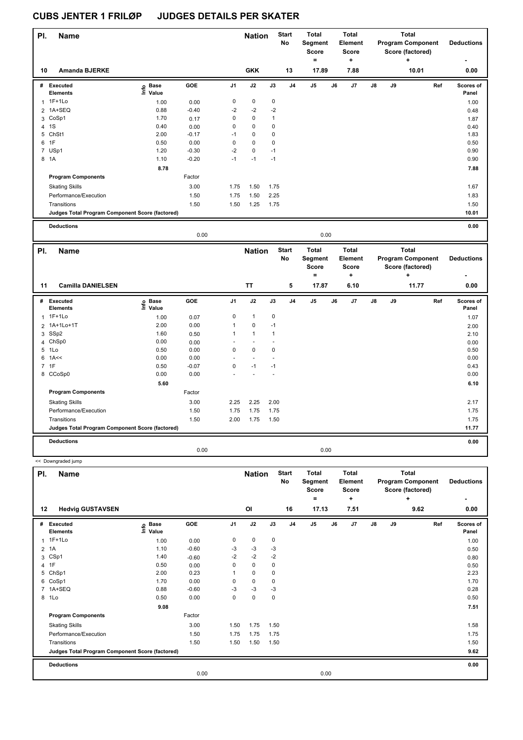<< Downgraded jump

| PI. | <b>Name</b>                                     |                   |         |                | <b>Nation</b> |             | <b>Start</b><br>No | <b>Total</b><br>Segment<br><b>Score</b> |    | <b>Total</b><br>Element<br><b>Score</b> |               |    | <b>Total</b><br><b>Program Component</b><br>Score (factored) | <b>Deductions</b>                |
|-----|-------------------------------------------------|-------------------|---------|----------------|---------------|-------------|--------------------|-----------------------------------------|----|-----------------------------------------|---------------|----|--------------------------------------------------------------|----------------------------------|
| 10  | <b>Amanda BJERKE</b>                            |                   |         |                | <b>GKK</b>    |             | 13                 | $\equiv$<br>17.89                       |    | ٠<br>7.88                               |               |    | ٠<br>10.01                                                   | $\overline{\phantom{0}}$<br>0.00 |
|     |                                                 |                   |         |                |               |             |                    |                                         |    |                                         |               |    |                                                              |                                  |
| #   | Executed<br><b>Elements</b>                     | e Base<br>E Value | GOE     | J <sub>1</sub> | J2            | J3          | J <sub>4</sub>     | J <sub>5</sub>                          | J6 | J7                                      | $\mathsf{J}8$ | J9 | Ref                                                          | Scores of<br>Panel               |
|     | $1$ 1F+1Lo                                      | 1.00              | 0.00    | 0              | $\mathbf 0$   | $\pmb{0}$   |                    |                                         |    |                                         |               |    |                                                              | 1.00                             |
|     | 2 1A+SEQ                                        | 0.88              | $-0.40$ | $-2$           | $-2$          | $-2$        |                    |                                         |    |                                         |               |    |                                                              | 0.48                             |
|     | 3 CoSp1                                         | 1.70              | 0.17    | 0              | $\mathbf 0$   | 1           |                    |                                         |    |                                         |               |    |                                                              | 1.87                             |
| 4   | 1S                                              | 0.40              | 0.00    | 0              | $\mathbf 0$   | 0           |                    |                                         |    |                                         |               |    |                                                              | 0.40                             |
| 5   | ChSt1                                           | 2.00              | $-0.17$ | $-1$           | $\mathbf 0$   | 0           |                    |                                         |    |                                         |               |    |                                                              | 1.83                             |
|     | 6 1F                                            | 0.50              | 0.00    | 0              | $\mathbf 0$   | $\mathbf 0$ |                    |                                         |    |                                         |               |    |                                                              | 0.50                             |
|     | 7 USp1                                          | 1.20              | $-0.30$ | $-2$           | $\mathbf 0$   | $-1$        |                    |                                         |    |                                         |               |    |                                                              | 0.90                             |
|     | 8 1A                                            | 1.10              | $-0.20$ | $-1$           | $-1$          | $-1$        |                    |                                         |    |                                         |               |    |                                                              | 0.90                             |
|     |                                                 | 8.78              |         |                |               |             |                    |                                         |    |                                         |               |    |                                                              | 7.88                             |
|     | <b>Program Components</b>                       |                   | Factor  |                |               |             |                    |                                         |    |                                         |               |    |                                                              |                                  |
|     | <b>Skating Skills</b>                           |                   | 3.00    | 1.75           | 1.50          | 1.75        |                    |                                         |    |                                         |               |    |                                                              | 1.67                             |
|     | Performance/Execution                           |                   | 1.50    | 1.75           | 1.50          | 2.25        |                    |                                         |    |                                         |               |    |                                                              | 1.83                             |
|     | Transitions                                     |                   | 1.50    | 1.50           | 1.25          | 1.75        |                    |                                         |    |                                         |               |    |                                                              | 1.50                             |
|     | Judges Total Program Component Score (factored) |                   |         |                |               |             |                    |                                         |    |                                         |               |    |                                                              | 10.01                            |
|     | <b>Deductions</b>                               |                   |         |                |               |             |                    |                                         |    |                                         |               |    |                                                              | 0.00                             |

| PI. | <b>Name</b>                                     |                   |         |                | <b>Nation</b> |             | <b>Start</b><br>No | Total<br>Segment<br>Score<br>٠ |      | Total<br>Element<br><b>Score</b><br>٠ |    |    | Total<br><b>Program Component</b><br>Score (factored)<br>÷ | <b>Deductions</b><br>٠ |
|-----|-------------------------------------------------|-------------------|---------|----------------|---------------|-------------|--------------------|--------------------------------|------|---------------------------------------|----|----|------------------------------------------------------------|------------------------|
| 11  | <b>Camilla DANIELSEN</b>                        |                   |         |                | <b>TT</b>     |             | 5                  | 17.87                          |      | 6.10                                  |    |    | 11.77                                                      | 0.00                   |
| #   | <b>Executed</b><br><b>Elements</b>              | e Base<br>⊑ Value | GOE     | J <sub>1</sub> | J2            | J3          | J <sub>4</sub>     | J5                             | J6   | J <sub>7</sub>                        | J8 | J9 | Ref                                                        | Scores of<br>Panel     |
|     | 1 1F+1Lo                                        | 1.00              | 0.07    | 0              | $\mathbf{1}$  | $\mathbf 0$ |                    |                                |      |                                       |    |    |                                                            | 1.07                   |
|     | 2 1A+1Lo+1T                                     | 2.00              | 0.00    | 1              | $\mathbf 0$   | $-1$        |                    |                                |      |                                       |    |    |                                                            | 2.00                   |
|     | 3 SSp2                                          | 1.60              | 0.50    | 1              | $\mathbf{1}$  | 1           |                    |                                |      |                                       |    |    |                                                            | 2.10                   |
|     | 4 ChSp0                                         | 0.00              | 0.00    |                |               |             |                    |                                |      |                                       |    |    |                                                            | 0.00                   |
|     | 5 1Lo                                           | 0.50              | 0.00    | 0              | $\mathbf 0$   | 0           |                    |                                |      |                                       |    |    |                                                            | 0.50                   |
|     | $6$ 1A $\leq$                                   | 0.00              | 0.00    | ٠              |               |             |                    |                                |      |                                       |    |    |                                                            | 0.00                   |
|     | 7 1F                                            | 0.50              | $-0.07$ | 0              | $-1$          | $-1$        |                    |                                |      |                                       |    |    |                                                            | 0.43                   |
|     | 8 CCoSp0                                        | 0.00              | 0.00    |                |               |             |                    |                                |      |                                       |    |    |                                                            | 0.00                   |
|     |                                                 | 5.60              |         |                |               |             |                    |                                |      |                                       |    |    |                                                            | 6.10                   |
|     | <b>Program Components</b>                       |                   | Factor  |                |               |             |                    |                                |      |                                       |    |    |                                                            |                        |
|     | <b>Skating Skills</b>                           |                   | 3.00    | 2.25           | 2.25          | 2.00        |                    |                                |      |                                       |    |    |                                                            | 2.17                   |
|     | Performance/Execution                           |                   | 1.50    | 1.75           | 1.75          | 1.75        |                    |                                |      |                                       |    |    |                                                            | 1.75                   |
|     | Transitions                                     |                   | 1.50    | 2.00           | 1.75          | 1.50        |                    |                                |      |                                       |    |    |                                                            | 1.75                   |
|     | Judges Total Program Component Score (factored) |                   |         |                |               |             |                    |                                |      |                                       |    |    |                                                            | 11.77                  |
|     | <b>Deductions</b>                               |                   |         |                |               |             |                    |                                |      |                                       |    |    |                                                            | 0.00                   |
|     |                                                 |                   | 0.00    |                |               |             |                    |                                | 0.00 |                                       |    |    |                                                            |                        |

0.00 0.00

| PI. | <b>Name</b>                                     |                            |         |                | <b>Nation</b> |             | <b>Start</b><br>No | <b>Total</b><br>Segment<br><b>Score</b><br>۰ |      | <b>Total</b><br>Element<br><b>Score</b><br>÷ |               |    | <b>Total</b><br><b>Program Component</b><br>Score (factored)<br>÷ | <b>Deductions</b>  |
|-----|-------------------------------------------------|----------------------------|---------|----------------|---------------|-------------|--------------------|----------------------------------------------|------|----------------------------------------------|---------------|----|-------------------------------------------------------------------|--------------------|
| 12  | <b>Hedvig GUSTAVSEN</b>                         |                            |         |                | OI            |             | 16                 | 17.13                                        |      | 7.51                                         |               |    | 9.62                                                              | 0.00               |
| #   | Executed<br><b>Elements</b>                     | e Base<br>⊑ Value<br>Value | GOE     | J <sub>1</sub> | J2            | J3          | J <sub>4</sub>     | J <sub>5</sub>                               | J6   | J7                                           | $\mathsf{J}8$ | J9 | Ref                                                               | Scores of<br>Panel |
|     | 1 1F+1Lo                                        | 1.00                       | 0.00    | 0              | $\pmb{0}$     | 0           |                    |                                              |      |                                              |               |    |                                                                   | 1.00               |
|     | $2$ 1A                                          | 1.10                       | $-0.60$ | $-3$           | $-3$          | $-3$        |                    |                                              |      |                                              |               |    |                                                                   | 0.50               |
| 3   | CSp1                                            | 1.40                       | $-0.60$ | $-2$           | $-2$          | $-2$        |                    |                                              |      |                                              |               |    |                                                                   | 0.80               |
|     | 4 1F                                            | 0.50                       | 0.00    | 0              | $\mathbf 0$   | $\mathbf 0$ |                    |                                              |      |                                              |               |    |                                                                   | 0.50               |
| 5   | ChSp1                                           | 2.00                       | 0.23    |                | $\pmb{0}$     | 0           |                    |                                              |      |                                              |               |    |                                                                   | 2.23               |
|     | 6 CoSp1                                         | 1.70                       | 0.00    | 0              | $\pmb{0}$     | 0           |                    |                                              |      |                                              |               |    |                                                                   | 1.70               |
|     | 7 1A+SEQ                                        | 0.88                       | $-0.60$ | -3             | -3            | -3          |                    |                                              |      |                                              |               |    |                                                                   | 0.28               |
|     | 8 1Lo                                           | 0.50                       | 0.00    | 0              | $\mathbf 0$   | $\mathbf 0$ |                    |                                              |      |                                              |               |    |                                                                   | 0.50               |
|     |                                                 | 9.08                       |         |                |               |             |                    |                                              |      |                                              |               |    |                                                                   | 7.51               |
|     | <b>Program Components</b>                       |                            | Factor  |                |               |             |                    |                                              |      |                                              |               |    |                                                                   |                    |
|     | <b>Skating Skills</b>                           |                            | 3.00    | 1.50           | 1.75          | 1.50        |                    |                                              |      |                                              |               |    |                                                                   | 1.58               |
|     | Performance/Execution                           |                            | 1.50    | 1.75           | 1.75          | 1.75        |                    |                                              |      |                                              |               |    |                                                                   | 1.75               |
|     | Transitions                                     |                            | 1.50    | 1.50           | 1.50          | 1.50        |                    |                                              |      |                                              |               |    |                                                                   | 1.50               |
|     | Judges Total Program Component Score (factored) |                            |         |                |               |             |                    |                                              |      |                                              |               |    |                                                                   | 9.62               |
|     | <b>Deductions</b>                               |                            |         |                |               |             |                    |                                              |      |                                              |               |    |                                                                   | 0.00               |
|     |                                                 |                            | 0.00    |                |               |             |                    |                                              | 0.00 |                                              |               |    |                                                                   |                    |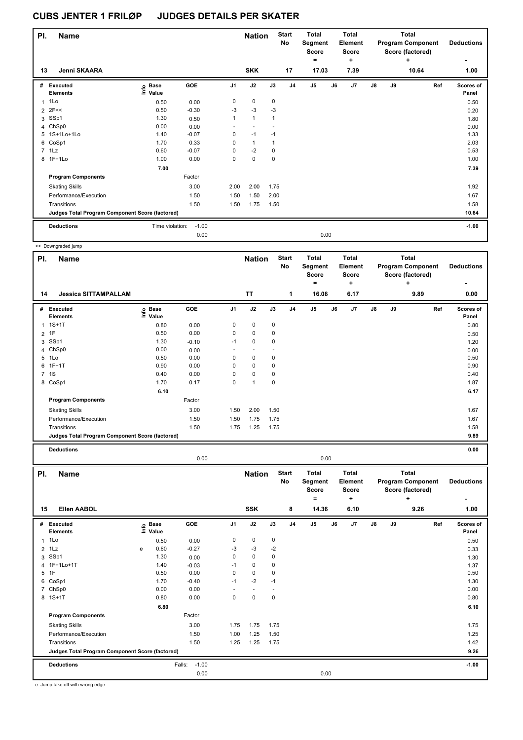| PI.            | <b>Name</b>                                     |                            |         |                | <b>Nation</b> |              | <b>Start</b><br>No | <b>Total</b><br>Segment<br><b>Score</b><br>٠ |      | Total<br>Element<br><b>Score</b><br>٠. |               |    | <b>Total</b><br><b>Program Component</b><br>Score (factored)<br>٠ | <b>Deductions</b><br>۰    |
|----------------|-------------------------------------------------|----------------------------|---------|----------------|---------------|--------------|--------------------|----------------------------------------------|------|----------------------------------------|---------------|----|-------------------------------------------------------------------|---------------------------|
| 13             | Jenni SKAARA                                    |                            |         |                | <b>SKK</b>    |              | 17                 | 17.03                                        |      | 7.39                                   |               |    | 10.64                                                             | 1.00                      |
| #              | Executed<br><b>Elements</b>                     | <b>Base</b><br>١m<br>Value | GOE     | J <sub>1</sub> | J2            | J3           | J <sub>4</sub>     | J5                                           | J6   | J <sub>7</sub>                         | $\mathsf{J}8$ | J9 | Ref                                                               | <b>Scores of</b><br>Panel |
| $\overline{1}$ | 1Lo                                             | 0.50                       | 0.00    | 0              | 0             | 0            |                    |                                              |      |                                        |               |    |                                                                   | 0.50                      |
| $\overline{2}$ | 2F<<                                            | 0.50                       | $-0.30$ | $-3$           | $-3$          | -3           |                    |                                              |      |                                        |               |    |                                                                   | 0.20                      |
| 3              | SSp1                                            | 1.30                       | 0.50    | 1              | $\mathbf{1}$  | $\mathbf{1}$ |                    |                                              |      |                                        |               |    |                                                                   | 1.80                      |
|                | 4 ChSp0                                         | 0.00                       | 0.00    | $\sim$         |               |              |                    |                                              |      |                                        |               |    |                                                                   | 0.00                      |
| 5              | 1S+1Lo+1Lo                                      | 1.40                       | $-0.07$ | 0              | $-1$          | $-1$         |                    |                                              |      |                                        |               |    |                                                                   | 1.33                      |
|                | 6 CoSp1                                         | 1.70                       | 0.33    | 0              | $\mathbf{1}$  | $\mathbf{1}$ |                    |                                              |      |                                        |               |    |                                                                   | 2.03                      |
|                | 7 1Lz                                           | 0.60                       | $-0.07$ | 0              | $-2$          | $\mathbf 0$  |                    |                                              |      |                                        |               |    |                                                                   | 0.53                      |
|                | 8 1F+1Lo                                        | 1.00                       | 0.00    | 0              | $\mathbf 0$   | $\mathbf 0$  |                    |                                              |      |                                        |               |    |                                                                   | 1.00                      |
|                |                                                 | 7.00                       |         |                |               |              |                    |                                              |      |                                        |               |    |                                                                   | 7.39                      |
|                | <b>Program Components</b>                       |                            | Factor  |                |               |              |                    |                                              |      |                                        |               |    |                                                                   |                           |
|                | <b>Skating Skills</b>                           |                            | 3.00    | 2.00           | 2.00          | 1.75         |                    |                                              |      |                                        |               |    |                                                                   | 1.92                      |
|                | Performance/Execution                           |                            | 1.50    | 1.50           | 1.50          | 2.00         |                    |                                              |      |                                        |               |    |                                                                   | 1.67                      |
|                | Transitions                                     |                            | 1.50    | 1.50           | 1.75          | 1.50         |                    |                                              |      |                                        |               |    |                                                                   | 1.58                      |
|                | Judges Total Program Component Score (factored) |                            |         |                |               |              |                    |                                              |      |                                        |               |    |                                                                   | 10.64                     |
|                | <b>Deductions</b>                               | Time violation:            | $-1.00$ |                |               |              |                    |                                              |      |                                        |               |    |                                                                   | $-1.00$                   |
|                |                                                 |                            | 0.00    |                |               |              |                    |                                              | 0.00 |                                        |               |    |                                                                   |                           |

|                | << Downgraded jump                              |                                  |         |                |               |      |                    |                                              |    |                                              |               |    |                                                            |     |                           |
|----------------|-------------------------------------------------|----------------------------------|---------|----------------|---------------|------|--------------------|----------------------------------------------|----|----------------------------------------------|---------------|----|------------------------------------------------------------|-----|---------------------------|
| PI.            | <b>Name</b>                                     |                                  |         |                | <b>Nation</b> |      | <b>Start</b><br>No | <b>Total</b><br>Segment<br><b>Score</b><br>= |    | <b>Total</b><br>Element<br><b>Score</b><br>٠ |               |    | Total<br><b>Program Component</b><br>Score (factored)<br>٠ |     | <b>Deductions</b>         |
| 14             | <b>Jessica SITTAMPALLAM</b>                     |                                  |         |                | <b>TT</b>     |      | 1                  | 16.06                                        |    | 6.17                                         |               |    | 9.89                                                       |     | 0.00                      |
| #              | Executed<br><b>Elements</b>                     | <b>Base</b><br>e Base<br>E Value | GOE     | J <sub>1</sub> | J2            | J3   | J <sub>4</sub>     | J5                                           | J6 | J7                                           | $\mathsf{J}8$ | J9 |                                                            | Ref | <b>Scores of</b><br>Panel |
| 1              | $1S+1T$                                         | 0.80                             | 0.00    | 0              | 0             | 0    |                    |                                              |    |                                              |               |    |                                                            |     | 0.80                      |
| $\overline{2}$ | 1F                                              | 0.50                             | 0.00    | 0              | $\mathbf 0$   | 0    |                    |                                              |    |                                              |               |    |                                                            |     | 0.50                      |
| 3              | SSp1                                            | 1.30                             | $-0.10$ | $-1$           | 0             | 0    |                    |                                              |    |                                              |               |    |                                                            |     | 1.20                      |
|                | 4 ChSp0                                         | 0.00                             | 0.00    |                | $\sim$        |      |                    |                                              |    |                                              |               |    |                                                            |     | 0.00                      |
| 5              | 1Lo                                             | 0.50                             | 0.00    | 0              | 0             | 0    |                    |                                              |    |                                              |               |    |                                                            |     | 0.50                      |
| 6              | $1F+1T$                                         | 0.90                             | 0.00    | $\Omega$       | $\pmb{0}$     | 0    |                    |                                              |    |                                              |               |    |                                                            |     | 0.90                      |
|                | 7 1S                                            | 0.40                             | 0.00    | $\Omega$       | $\mathbf 0$   | 0    |                    |                                              |    |                                              |               |    |                                                            |     | 0.40                      |
|                | 8 CoSp1                                         | 1.70                             | 0.17    | $\mathbf 0$    | $\mathbf{1}$  | 0    |                    |                                              |    |                                              |               |    |                                                            |     | 1.87                      |
|                |                                                 | 6.10                             |         |                |               |      |                    |                                              |    |                                              |               |    |                                                            |     | 6.17                      |
|                | <b>Program Components</b>                       |                                  | Factor  |                |               |      |                    |                                              |    |                                              |               |    |                                                            |     |                           |
|                | <b>Skating Skills</b>                           |                                  | 3.00    | 1.50           | 2.00          | 1.50 |                    |                                              |    |                                              |               |    |                                                            |     | 1.67                      |
|                | Performance/Execution                           |                                  | 1.50    | 1.50           | 1.75          | 1.75 |                    |                                              |    |                                              |               |    |                                                            |     | 1.67                      |
|                | Transitions                                     |                                  | 1.50    | 1.75           | 1.25          | 1.75 |                    |                                              |    |                                              |               |    |                                                            |     | 1.58                      |
|                | Judges Total Program Component Score (factored) |                                  |         |                |               |      |                    |                                              |    |                                              |               |    |                                                            |     | 9.89                      |
|                | <b>Deductions</b>                               |                                  |         |                |               |      |                    |                                              |    |                                              |               |    |                                                            |     | 0.00                      |

0.00 0.00

| PI.            | <b>Name</b>                                     |   |                                  |                   |                | <b>Nation</b>            |             | <b>Start</b><br>No | <b>Total</b><br>Segment<br><b>Score</b><br>٠ |    | <b>Total</b><br><b>Element</b><br><b>Score</b><br>٠ |    |    | Total<br><b>Program Component</b><br>Score (factored)<br>٠ | <b>Deductions</b>  |
|----------------|-------------------------------------------------|---|----------------------------------|-------------------|----------------|--------------------------|-------------|--------------------|----------------------------------------------|----|-----------------------------------------------------|----|----|------------------------------------------------------------|--------------------|
| 15             | <b>Ellen AABOL</b>                              |   |                                  |                   |                | <b>SSK</b>               |             | 8                  | 14.36                                        |    | 6.10                                                |    |    | 9.26                                                       | 1.00               |
| #              | Executed<br><b>Elements</b>                     |   | <b>Base</b><br>e Base<br>⊑ Value | <b>GOE</b>        | J <sub>1</sub> | J2                       | J3          | J <sub>4</sub>     | J <sub>5</sub>                               | J6 | J7                                                  | J8 | J9 | Ref                                                        | Scores of<br>Panel |
| $\mathbf{1}$   | 1Lo                                             |   | 0.50                             | 0.00              | 0              | $\mathbf 0$              | 0           |                    |                                              |    |                                                     |    |    |                                                            | 0.50               |
|                | $2$ 1 Lz                                        | e | 0.60                             | $-0.27$           | -3             | $-3$                     | $-2$        |                    |                                              |    |                                                     |    |    |                                                            | 0.33               |
| 3              | SSp1                                            |   | 1.30                             | 0.00              | 0              | $\mathbf 0$              | 0           |                    |                                              |    |                                                     |    |    |                                                            | 1.30               |
|                | 4 1F+1Lo+1T                                     |   | 1.40                             | $-0.03$           | $-1$           | $\mathbf 0$              | 0           |                    |                                              |    |                                                     |    |    |                                                            | 1.37               |
| $5^{\circ}$    | 1F                                              |   | 0.50                             | 0.00              | 0              | $\mathbf 0$              | 0           |                    |                                              |    |                                                     |    |    |                                                            | 0.50               |
| 6              | CoSp1                                           |   | 1.70                             | $-0.40$           | $-1$           | $-2$                     | $-1$        |                    |                                              |    |                                                     |    |    |                                                            | 1.30               |
| $\overline{7}$ | ChSp0                                           |   | 0.00                             | 0.00              | ٠              | $\overline{\phantom{a}}$ |             |                    |                                              |    |                                                     |    |    |                                                            | 0.00               |
|                | 8 1S+1T                                         |   | 0.80                             | 0.00              | 0              | $\mathbf 0$              | $\mathbf 0$ |                    |                                              |    |                                                     |    |    |                                                            | 0.80               |
|                |                                                 |   | 6.80                             |                   |                |                          |             |                    |                                              |    |                                                     |    |    |                                                            | 6.10               |
|                | <b>Program Components</b>                       |   |                                  | Factor            |                |                          |             |                    |                                              |    |                                                     |    |    |                                                            |                    |
|                | <b>Skating Skills</b>                           |   |                                  | 3.00              | 1.75           | 1.75                     | 1.75        |                    |                                              |    |                                                     |    |    |                                                            | 1.75               |
|                | Performance/Execution                           |   |                                  | 1.50              | 1.00           | 1.25                     | 1.50        |                    |                                              |    |                                                     |    |    |                                                            | 1.25               |
|                | Transitions                                     |   |                                  | 1.50              | 1.25           | 1.25                     | 1.75        |                    |                                              |    |                                                     |    |    |                                                            | 1.42               |
|                | Judges Total Program Component Score (factored) |   |                                  |                   |                |                          |             |                    |                                              |    |                                                     |    |    |                                                            | 9.26               |
|                | <b>Deductions</b>                               |   |                                  | $-1.00$<br>Falls: |                |                          |             |                    |                                              |    |                                                     |    |    |                                                            | $-1.00$            |
|                |                                                 |   |                                  | 0.00              |                |                          |             |                    | 0.00                                         |    |                                                     |    |    |                                                            |                    |

e Jump take off with wrong edge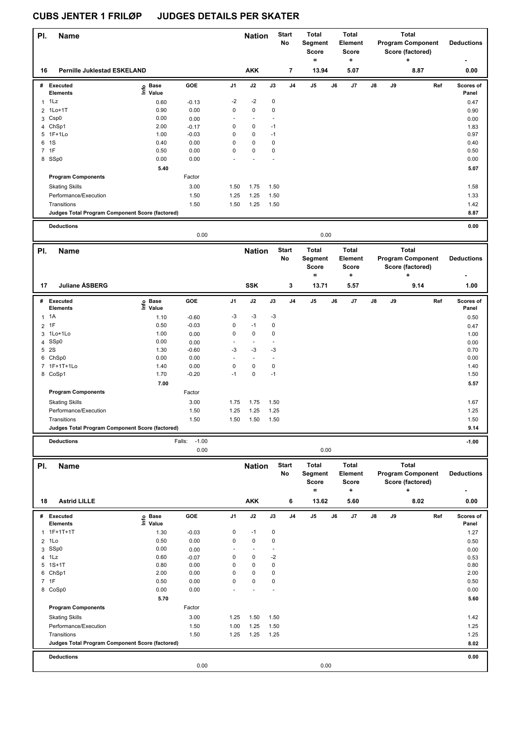| PI.            | <b>Name</b>                                     |                                   |                           |             | <b>Nation</b>            |                              | <b>Start</b><br>No | <b>Total</b><br>Segment<br>Score<br>$=$ |    | <b>Total</b><br><b>Element</b><br>Score<br>÷ |                                                   | Total<br><b>Program Component</b><br>Score (factored) | <b>Deductions</b>                                 |                    |
|----------------|-------------------------------------------------|-----------------------------------|---------------------------|-------------|--------------------------|------------------------------|--------------------|-----------------------------------------|----|----------------------------------------------|---------------------------------------------------|-------------------------------------------------------|---------------------------------------------------|--------------------|
| 16             | <b>Pernille Juklestad ESKELAND</b>              |                                   |                           |             | <b>AKK</b>               |                              | 7                  | 13.94                                   |    | 5.07                                         |                                                   |                                                       | 8.87                                              | 0.00               |
|                | # Executed                                      | $\overset{\circ}{\text{E}}$ Value | GOE                       | J1          | J2                       | J3                           | J4                 | $\mathsf{J}5$                           | J6 | J7                                           | J8                                                | J9                                                    | Ref                                               | Scores of          |
|                | <b>Elements</b>                                 |                                   |                           |             |                          |                              |                    |                                         |    |                                              |                                                   |                                                       |                                                   | Panel              |
| $\mathbf{1}$   | 1Lz                                             | 0.60                              | $-0.13$                   | $-2$        | $-2$                     | $\pmb{0}$                    |                    |                                         |    |                                              |                                                   |                                                       |                                                   | 0.47               |
| $\overline{2}$ | $1Lo+1T$                                        | 0.90                              | 0.00                      | 0           | 0                        | $\pmb{0}$                    |                    |                                         |    |                                              |                                                   |                                                       |                                                   | 0.90               |
| 3              | Csp <sub>0</sub><br>4 ChSp1                     | 0.00<br>2.00                      | 0.00                      | ä,<br>0     | $\sim$<br>$\pmb{0}$      | $\ddot{\phantom{1}}$<br>$-1$ |                    |                                         |    |                                              |                                                   |                                                       |                                                   | 0.00               |
| 5              | $1F+1Lo$                                        | 1.00                              | $-0.17$<br>$-0.03$        | 0           | 0                        | $-1$                         |                    |                                         |    |                                              |                                                   |                                                       |                                                   | 1.83<br>0.97       |
| 6              | 1S                                              | 0.40                              | 0.00                      | 0           | 0                        | $\pmb{0}$                    |                    |                                         |    |                                              |                                                   |                                                       |                                                   | 0.40               |
| 7              | 1F                                              | 0.50                              | 0.00                      | 0           | 0                        | 0                            |                    |                                         |    |                                              |                                                   |                                                       |                                                   | 0.50               |
|                | 8 SSp0                                          | 0.00                              | 0.00                      |             |                          |                              |                    |                                         |    |                                              |                                                   |                                                       |                                                   | 0.00               |
|                |                                                 | 5.40                              |                           |             |                          |                              |                    |                                         |    |                                              |                                                   |                                                       |                                                   | 5.07               |
|                | <b>Program Components</b>                       |                                   | Factor                    |             |                          |                              |                    |                                         |    |                                              |                                                   |                                                       |                                                   |                    |
|                | <b>Skating Skills</b>                           |                                   | 3.00                      | 1.50        | 1.75                     | 1.50                         |                    |                                         |    |                                              |                                                   |                                                       |                                                   | 1.58               |
|                | Performance/Execution                           |                                   | 1.50                      | 1.25        | 1.25                     | 1.50                         |                    |                                         |    |                                              |                                                   |                                                       |                                                   | 1.33               |
|                | Transitions                                     |                                   | 1.50                      | 1.50        | 1.25                     | 1.50                         |                    |                                         |    |                                              |                                                   |                                                       |                                                   | 1.42               |
|                | Judges Total Program Component Score (factored) |                                   |                           |             |                          |                              |                    |                                         |    |                                              |                                                   |                                                       |                                                   | 8.87               |
|                | <b>Deductions</b>                               |                                   |                           |             |                          |                              |                    |                                         |    |                                              |                                                   |                                                       |                                                   | 0.00               |
|                | 0.00                                            |                                   |                           |             |                          |                              |                    | 0.00                                    |    |                                              |                                                   |                                                       |                                                   |                    |
| PI.            | <b>Name</b>                                     |                                   |                           |             | <b>Nation</b>            |                              | <b>Start</b>       | <b>Total</b>                            |    | Total                                        |                                                   |                                                       | <b>Total</b>                                      |                    |
|                |                                                 |                                   |                           |             |                          | No                           |                    | Segment<br>Score<br>$=$                 |    | Element<br>Score<br>÷                        | <b>Program Component</b><br>Score (factored)<br>+ |                                                       |                                                   | <b>Deductions</b>  |
| 17             | <b>Juliane ÅSBERG</b>                           |                                   |                           |             | <b>SSK</b>               |                              | 3                  | 13.71                                   |    | 5.57                                         |                                                   |                                                       | 9.14                                              | 1.00               |
|                | # Executed<br><b>Elements</b>                   | Base<br>e Base<br>⊆ Value         | GOE                       | J1          | J2                       | J3                           | J4                 | J5                                      | J6 | J7                                           | J8                                                | J9                                                    | Ref                                               | Scores of<br>Panel |
| 1              | 1A                                              | 1.10                              | $-0.60$                   | $-3$        | $-3$                     | $-3$                         |                    |                                         |    |                                              |                                                   |                                                       |                                                   | 0.50               |
| 2              | 1F                                              | 0.50                              | $-0.03$                   | 0           | $-1$                     | 0                            |                    |                                         |    |                                              |                                                   |                                                       |                                                   | 0.47               |
| 3              | 1Lo+1Lo                                         | 1.00                              | 0.00                      | 0           | $\pmb{0}$                | 0                            |                    |                                         |    |                                              |                                                   |                                                       |                                                   | 1.00               |
|                | 4 SSp0                                          | 0.00                              | 0.00                      |             | $\blacksquare$           |                              |                    |                                         |    |                                              |                                                   |                                                       |                                                   | 0.00               |
| 5              | 2S                                              | 1.30                              | $-0.60$                   | $-3$        | $-3$                     | $-3$                         |                    |                                         |    |                                              |                                                   |                                                       |                                                   | 0.70               |
|                | 6 ChSp0                                         | 0.00                              | 0.00                      |             | $\overline{\phantom{a}}$ | ÷,                           |                    |                                         |    |                                              |                                                   |                                                       |                                                   | 0.00               |
|                | 7 1F+1T+1Lo                                     | 1.40                              | 0.00                      | $\mathbf 0$ | $\pmb{0}$                | $\pmb{0}$                    |                    |                                         |    |                                              |                                                   |                                                       |                                                   | 1.40               |
|                | 8 CoSp1                                         | 1.70                              | $-0.20$                   | $-1$        | 0                        | $-1$                         |                    |                                         |    |                                              |                                                   |                                                       |                                                   | 1.50               |
|                |                                                 | 7.00                              |                           |             |                          |                              |                    |                                         |    |                                              |                                                   |                                                       |                                                   | 5.57               |
|                | <b>Program Components</b>                       |                                   | Factor                    |             |                          |                              |                    |                                         |    |                                              |                                                   |                                                       |                                                   |                    |
|                | <b>Skating Skills</b>                           |                                   | 3.00                      | 1.75        | 1.75                     | 1.50                         |                    |                                         |    |                                              |                                                   |                                                       |                                                   | 1.67               |
|                | Performance/Execution                           |                                   | 1.50                      | 1.25        | 1.25                     | 1.25                         |                    |                                         |    |                                              |                                                   |                                                       |                                                   | 1.25               |
|                | Transitions                                     |                                   | 1.50                      | 1.50        | 1.50                     | 1.50                         |                    |                                         |    |                                              |                                                   |                                                       |                                                   | 1.50               |
|                | Judges Total Program Component Score (factored) |                                   |                           |             |                          |                              |                    |                                         |    |                                              |                                                   |                                                       |                                                   | 9.14               |
|                |                                                 |                                   |                           |             |                          |                              |                    |                                         |    |                                              |                                                   |                                                       |                                                   |                    |
|                | <b>Deductions</b>                               |                                   | $-1.00$<br>Falls:<br>0.00 |             |                          |                              |                    | 0.00                                    |    |                                              |                                                   |                                                       |                                                   | $-1.00$            |
| PI.            | <b>Name</b>                                     |                                   |                           |             | <b>Nation</b>            |                              | <b>Start</b>       | <b>Total</b>                            |    | Total                                        |                                                   |                                                       | <b>Total</b>                                      |                    |
|                |                                                 |                                   |                           |             |                          |                              | No                 | Segment<br>Score<br>$=$                 |    | Element<br>Score<br>÷                        |                                                   |                                                       | <b>Program Component</b><br>Score (factored)<br>٠ | <b>Deductions</b>  |
| 18             | <b>Astrid LILLE</b>                             |                                   |                           |             | <b>AKK</b>               |                              | 6                  | 13.62                                   |    | 5.60                                         |                                                   |                                                       | 8.02                                              | 0.00               |
|                | # Executed                                      | e Base<br>⊑ Value                 | GOE                       | J1          | J2                       | J3                           | J4                 | $\mathsf{J}5$                           | J6 | J7                                           | J8                                                | J9                                                    | Ref                                               | Scores of          |
|                | <b>Elements</b>                                 |                                   |                           |             |                          |                              |                    |                                         |    |                                              |                                                   |                                                       |                                                   | Panel              |
|                | 1F+1T+1T                                        | 1.30                              | $-0.03$                   | 0           | $-1$                     | $\pmb{0}$                    |                    |                                         |    |                                              |                                                   |                                                       |                                                   | 1.27               |
| $\overline{2}$ | 1Lo                                             | 0.50                              | 0.00                      | 0           | $\pmb{0}$                | 0                            |                    |                                         |    |                                              |                                                   |                                                       |                                                   | 0.50               |
|                | 3 SSp0<br>1Lz                                   | 0.00<br>0.60                      | 0.00                      | 0           | ÷,<br>0                  | $-2$                         |                    |                                         |    |                                              |                                                   |                                                       |                                                   | 0.00               |
| 4              | 5 1S+1T                                         | 0.80                              | $-0.07$<br>0.00           | 0           | 0                        | 0                            |                    |                                         |    |                                              |                                                   |                                                       |                                                   | 0.53<br>0.80       |
|                | 6 ChSp1                                         | 2.00                              | 0.00                      | 0           | 0                        | 0                            |                    |                                         |    |                                              |                                                   |                                                       |                                                   | 2.00               |
| 7 1F           |                                                 | 0.50                              | 0.00                      | 0           | 0                        | 0                            |                    |                                         |    |                                              |                                                   |                                                       |                                                   | 0.50               |
|                | 8 CoSp0                                         | 0.00                              | 0.00                      |             |                          |                              |                    |                                         |    |                                              |                                                   |                                                       |                                                   | 0.00               |
|                |                                                 | 5.70                              |                           |             |                          |                              |                    |                                         |    |                                              |                                                   |                                                       |                                                   | 5.60               |
|                | <b>Program Components</b>                       |                                   | Factor                    |             |                          |                              |                    |                                         |    |                                              |                                                   |                                                       |                                                   |                    |
|                | <b>Skating Skills</b>                           |                                   | 3.00                      | 1.25        | 1.50                     | 1.50                         |                    |                                         |    |                                              |                                                   |                                                       |                                                   | 1.42               |
|                | Performance/Execution                           |                                   | 1.50                      | 1.00        | 1.25                     | 1.50                         |                    |                                         |    |                                              |                                                   |                                                       |                                                   | 1.25               |
|                | Transitions                                     |                                   | 1.50                      | 1.25        | 1.25                     | 1.25                         |                    |                                         |    |                                              |                                                   |                                                       |                                                   | 1.25               |
|                | Judges Total Program Component Score (factored) |                                   |                           |             |                          |                              |                    |                                         |    |                                              |                                                   |                                                       |                                                   | 8.02               |
|                |                                                 |                                   |                           |             |                          |                              |                    |                                         |    |                                              |                                                   |                                                       |                                                   |                    |
|                | <b>Deductions</b>                               |                                   |                           |             |                          |                              |                    |                                         |    |                                              |                                                   |                                                       |                                                   | 0.00               |
|                |                                                 |                                   | 0.00                      |             |                          |                              |                    | 0.00                                    |    |                                              |                                                   |                                                       |                                                   |                    |
|                |                                                 |                                   |                           |             |                          |                              |                    |                                         |    |                                              |                                                   |                                                       |                                                   |                    |